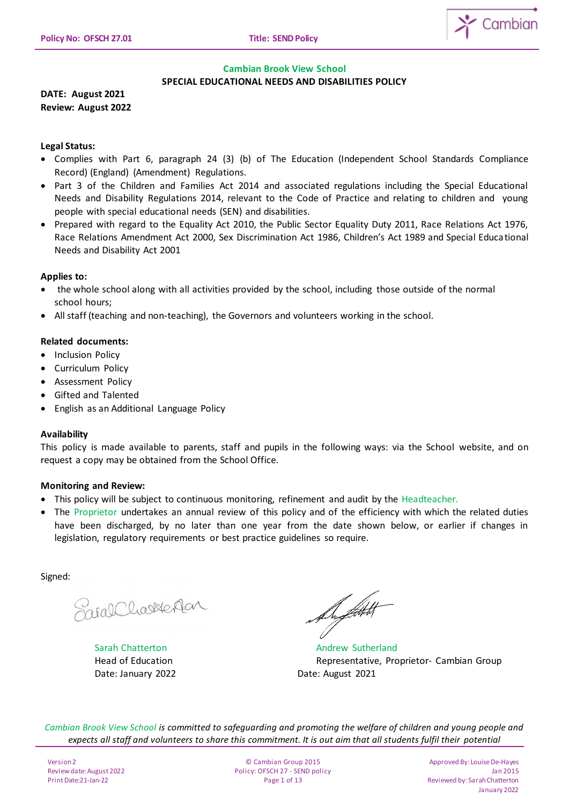

# **Cambian Brook View School SPECIAL EDUCATIONAL NEEDS AND DISABILITIES POLICY**

**DATE: August 2021 Review: August 2022**

# **Legal Status:**

- Complies with Part 6, paragraph 24 (3) (b) of The Education (Independent School Standards Compliance Record) (England) (Amendment) Regulations.
- Part 3 of the Children and Families Act 2014 and associated regulations including the Special Educational Needs and Disability Regulations 2014, relevant to the Code of Practice and relating to children and young people with special educational needs (SEN) and disabilities.
- Prepared with regard to the Equality Act 2010, the Public Sector Equality Duty 2011, Race Relations Act 1976, Race Relations Amendment Act 2000, Sex Discrimination Act 1986, Children's Act 1989 and Special Educational Needs and Disability Act 2001

# **Applies to:**

- the whole school along with all activities provided by the school, including those outside of the normal school hours;
- All staff (teaching and non-teaching), the Governors and volunteers working in the school.

# **Related documents:**

- Inclusion Policy
- Curriculum Policy
- **•** Assessment Policy
- Gifted and Talented
- English as an Additional Language Policy

## **Availability**

This policy is made available to parents, staff and pupils in the following ways: via the School website, and on request a copy may be obtained from the School Office.

## **Monitoring and Review:**

- This policy will be subject to continuous monitoring, refinement and audit by the Headteacher.
- The Proprietor undertakes an annual review of this policy and of the efficiency with which the related duties have been discharged, by no later than one year from the date shown below, or earlier if changes in legislation, regulatory requirements or best practice guidelines so require.

Signed:

Sacal Charlester

Date: January 2022 Date: August 2021

Du flott t

Sarah Chatterton **Andrew Sutherland** Head of Education Representative, Proprietor- Cambian Group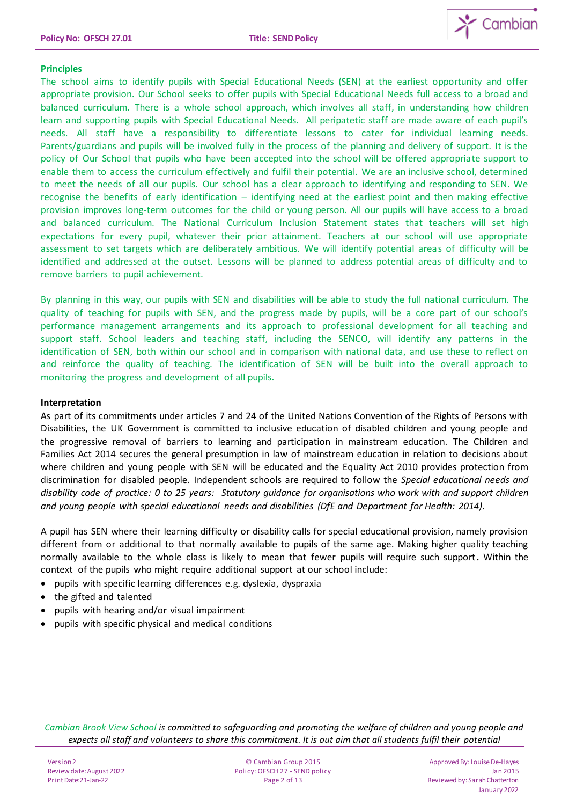

# **Principles**

The school aims to identify pupils with Special Educational Needs (SEN) at the earliest opportunity and offer appropriate provision. Our School seeks to offer pupils with Special Educational Needs full access to a broad and balanced curriculum. There is a whole school approach, which involves all staff, in understanding how children learn and supporting pupils with Special Educational Needs. All peripatetic staff are made aware of each pupil's needs. All staff have a responsibility to differentiate lessons to cater for individual learning needs. Parents/guardians and pupils will be involved fully in the process of the planning and delivery of support. It is the policy of Our School that pupils who have been accepted into the school will be offered appropriate support to enable them to access the curriculum effectively and fulfil their potential. We are an inclusive school, determined to meet the needs of all our pupils. Our school has a clear approach to identifying and responding to SEN. We recognise the benefits of early identification – identifying need at the earliest point and then making effective provision improves long-term outcomes for the child or young person. All our pupils will have access to a broad and balanced curriculum. The National Curriculum Inclusion Statement states that teachers will set high expectations for every pupil, whatever their prior attainment. Teachers at our school will use appropriate assessment to set targets which are deliberately ambitious. We will identify potential areas of difficulty will be identified and addressed at the outset. Lessons will be planned to address potential areas of difficulty and to remove barriers to pupil achievement.

By planning in this way, our pupils with SEN and disabilities will be able to study the full national curriculum. The quality of teaching for pupils with SEN, and the progress made by pupils, will be a core part of our school's performance management arrangements and its approach to professional development for all teaching and support staff. School leaders and teaching staff, including the SENCO, will identify any patterns in the identification of SEN, both within our school and in comparison with national data, and use these to reflect on and reinforce the quality of teaching. The identification of SEN will be built into the overall approach to monitoring the progress and development of all pupils.

## **Interpretation**

As part of its commitments under articles 7 and 24 of the United Nations Convention of the Rights of Persons with Disabilities, the UK Government is committed to inclusive education of disabled children and young people and the progressive removal of barriers to learning and participation in mainstream education. The Children and Families Act 2014 secures the general presumption in law of mainstream education in relation to decisions about where children and young people with SEN will be educated and the Equality Act 2010 provides protection from discrimination for disabled people. Independent schools are required to follow the *Special educational needs and disability code of practice: 0 to 25 years: Statutory guidance for organisations who work with and support children and young people with special educational needs and disabilities (DfE and Department for Health: 2014).*

A pupil has SEN where their learning difficulty or disability calls for special educational provision, namely provision different from or additional to that normally available to pupils of the same age. Making higher quality teaching normally available to the whole class is likely to mean that fewer pupils will require such support**.** Within the context of the pupils who might require additional support at our school include:

- pupils with specific learning differences e.g. dyslexia, dyspraxia
- the gifted and talented
- pupils with hearing and/or visual impairment
- pupils with specific physical and medical conditions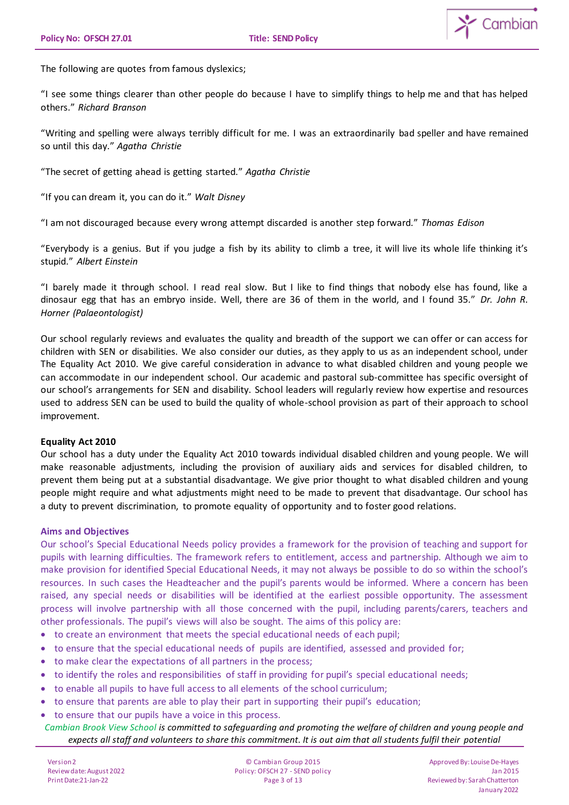

The following are quotes from famous dyslexics;

"I see some things clearer than other people do because I have to simplify things to help me and that has helped others." *Richard Branson*

"Writing and spelling were always terribly difficult for me. I was an extraordinarily bad speller and have remained so until this day." *Agatha Christie*

"The secret of getting ahead is getting started." *Agatha Christie*

"If you can dream it, you can do it." *Walt Disney*

"I am not discouraged because every wrong attempt discarded is another step forward." *Thomas Edison*

"Everybody is a genius. But if you judge a fish by its ability to climb a tree, it will live its whole life thinking it's stupid." *Albert Einstein*

"I barely made it through school. I read real slow. But I like to find things that nobody else has found, like a dinosaur egg that has an embryo inside. Well, there are 36 of them in the world, and I found 35." *Dr. John R. Horner (Palaeontologist)*

Our school regularly reviews and evaluates the quality and breadth of the support we can offer or can access for children with SEN or disabilities. We also consider our duties, as they apply to us as an independent school, under The Equality Act 2010. We give careful consideration in advance to what disabled children and young people we can accommodate in our independent school. Our academic and pastoral sub-committee has specific oversight of our school's arrangements for SEN and disability. School leaders will regularly review how expertise and resources used to address SEN can be used to build the quality of whole-school provision as part of their approach to school improvement.

#### **Equality Act 2010**

Our school has a duty under the Equality Act 2010 towards individual disabled children and young people. We will make reasonable adjustments, including the provision of auxiliary aids and services for disabled children, to prevent them being put at a substantial disadvantage. We give prior thought to what disabled children and young people might require and what adjustments might need to be made to prevent that disadvantage. Our school has a duty to prevent discrimination, to promote equality of opportunity and to foster good relations.

#### **Aims and Objectives**

Our school's Special Educational Needs policy provides a framework for the provision of teaching and support for pupils with learning difficulties. The framework refers to entitlement, access and partnership. Although we aim to make provision for identified Special Educational Needs, it may not always be possible to do so within the school's resources. In such cases the Headteacher and the pupil's parents would be informed. Where a concern has been raised, any special needs or disabilities will be identified at the earliest possible opportunity. The assessment process will involve partnership with all those concerned with the pupil, including parents/carers, teachers and other professionals. The pupil's views will also be sought. The aims of this policy are:

- to create an environment that meets the special educational needs of each pupil;
- to ensure that the special educational needs of pupils are identified, assessed and provided for;
- to make clear the expectations of all partners in the process;
- to identify the roles and responsibilities of staff in providing for pupil's special educational needs;
- to enable all pupils to have full access to all elements of the school curriculum;
- to ensure that parents are able to play their part in supporting their pupil's education;
- to ensure that our pupils have a voice in this process.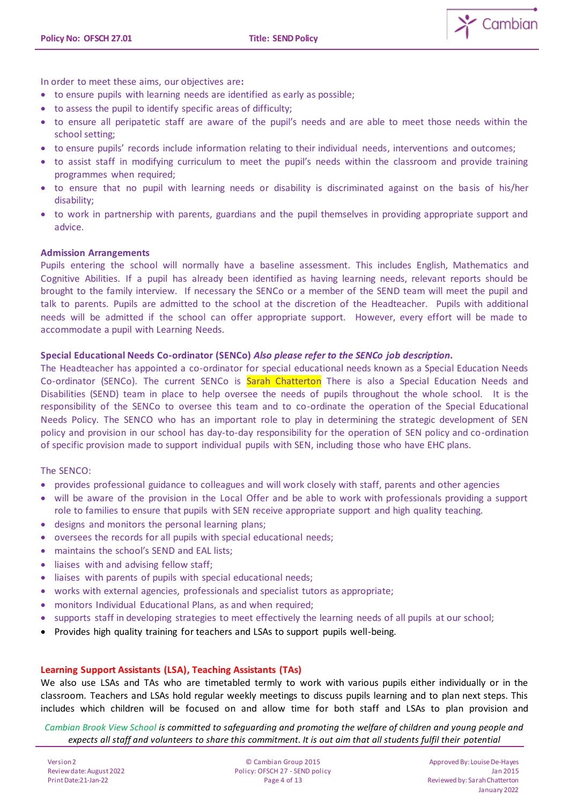

In order to meet these aims, our objectives are**:** 

- to ensure pupils with learning needs are identified as early as possible;
- to assess the pupil to identify specific areas of difficulty;
- to ensure all peripatetic staff are aware of the pupil's needs and are able to meet those needs within the school setting;
- to ensure pupils' records include information relating to their individual needs, interventions and outcomes;
- to assist staff in modifying curriculum to meet the pupil's needs within the classroom and provide training programmes when required;
- to ensure that no pupil with learning needs or disability is discriminated against on the basis of his/her disability;
- to work in partnership with parents, guardians and the pupil themselves in providing appropriate support and advice.

## **Admission Arrangements**

Pupils entering the school will normally have a baseline assessment. This includes English, Mathematics and Cognitive Abilities. If a pupil has already been identified as having learning needs, relevant reports should be brought to the family interview. If necessary the SENCo or a member of the SEND team will meet the pupil and talk to parents. Pupils are admitted to the school at the discretion of the Headteacher. Pupils with additional needs will be admitted if the school can offer appropriate support. However, every effort will be made to accommodate a pupil with Learning Needs.

## **Special Educational Needs Co-ordinator (SENCo)** *Also please refer to the SENCo job description.*

The Headteacher has appointed a co-ordinator for special educational needs known as a Special Education Needs Co-ordinator (SENCo). The current SENCo is Sarah Chatterton There is also a Special Education Needs and Disabilities (SEND) team in place to help oversee the needs of pupils throughout the whole school. It is the responsibility of the SENCo to oversee this team and to co-ordinate the operation of the Special Educational Needs Policy. The SENCO who has an important role to play in determining the strategic development of SEN policy and provision in our school has day-to-day responsibility for the operation of SEN policy and co-ordination of specific provision made to support individual pupils with SEN, including those who have EHC plans.

## The SENCO:

- provides professional guidance to colleagues and will work closely with staff, parents and other agencies
- will be aware of the provision in the Local Offer and be able to work with professionals providing a support role to families to ensure that pupils with SEN receive appropriate support and high quality teaching.
- designs and monitors the personal learning plans;
- oversees the records for all pupils with special educational needs;
- maintains the school's SEND and EAL lists;
- liaises with and advising fellow staff;
- liaises with parents of pupils with special educational needs;
- works with external agencies, professionals and specialist tutors as appropriate;
- monitors Individual Educational Plans, as and when required;
- supports staff in developing strategies to meet effectively the learning needs of all pupils at our school;
- Provides high quality training for teachers and LSAs to support pupils well-being.

## **Learning Support Assistants (LSA), Teaching Assistants (TAs)**

We also use LSAs and TAs who are timetabled termly to work with various pupils either individually or in the classroom. Teachers and LSAs hold regular weekly meetings to discuss pupils learning and to plan next steps. This includes which children will be focused on and allow time for both staff and LSAs to plan provision and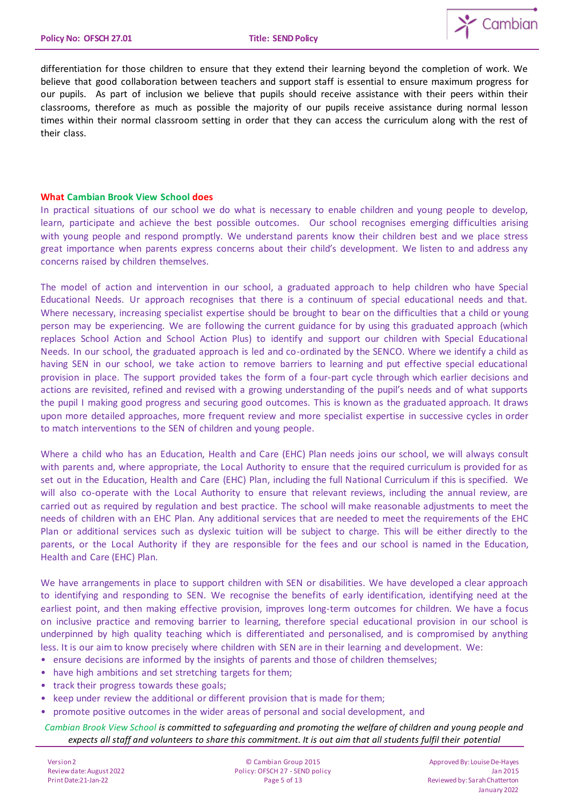

differentiation for those children to ensure that they extend their learning beyond the completion of work. We believe that good collaboration between teachers and support staff is essential to ensure maximum progress for our pupils. As part of inclusion we believe that pupils should receive assistance with their peers within their classrooms, therefore as much as possible the majority of our pupils receive assistance during normal lesson times within their normal classroom setting in order that they can access the curriculum along with the rest of their class.

# **What Cambian Brook View School does**

In practical situations of our school we do what is necessary to enable children and young people to develop, learn, participate and achieve the best possible outcomes. Our school recognises emerging difficulties arising with young people and respond promptly. We understand parents know their children best and we place stress great importance when parents express concerns about their child's development. We listen to and address any concerns raised by children themselves.

The model of action and intervention in our school, a graduated approach to help children who have Special Educational Needs. Ur approach recognises that there is a continuum of special educational needs and that. Where necessary, increasing specialist expertise should be brought to bear on the difficulties that a child or young person may be experiencing. We are following the current guidance for by using this graduated approach (which replaces School Action and School Action Plus) to identify and support our children with Special Educational Needs. In our school, the graduated approach is led and co-ordinated by the SENCO. Where we identify a child as having SEN in our school, we take action to remove barriers to learning and put effective special educational provision in place. The support provided takes the form of a four-part cycle through which earlier decisions and actions are revisited, refined and revised with a growing understanding of the pupil's needs and of what supports the pupil I making good progress and securing good outcomes. This is known as the graduated approach. It draws upon more detailed approaches, more frequent review and more specialist expertise in successive cycles in order to match interventions to the SEN of children and young people.

Where a child who has an Education, Health and Care (EHC) Plan needs joins our school, we will always consult with parents and, where appropriate, the Local Authority to ensure that the required curriculum is provided for as set out in the Education, Health and Care (EHC) Plan, including the full National Curriculum if this is specified. We will also co-operate with the Local Authority to ensure that relevant reviews, including the annual review, are carried out as required by regulation and best practice. The school will make reasonable adjustments to meet the needs of children with an EHC Plan. Any additional services that are needed to meet the requirements of the EHC Plan or additional services such as dyslexic tuition will be subject to charge. This will be either directly to the parents, or the Local Authority if they are responsible for the fees and our school is named in the Education, Health and Care (EHC) Plan.

We have arrangements in place to support children with SEN or disabilities. We have developed a clear approach to identifying and responding to SEN. We recognise the benefits of early identification, identifying need at the earliest point, and then making effective provision, improves long-term outcomes for children. We have a focus on inclusive practice and removing barrier to learning, therefore special educational provision in our school is underpinned by high quality teaching which is differentiated and personalised, and is compromised by anything less. It is our aim to know precisely where children with SEN are in their learning and development. We:

- ensure decisions are informed by the insights of parents and those of children themselves;
- have high ambitions and set stretching targets for them;
- track their progress towards these goals;
- keep under review the additional or different provision that is made for them;
- promote positive outcomes in the wider areas of personal and social development, and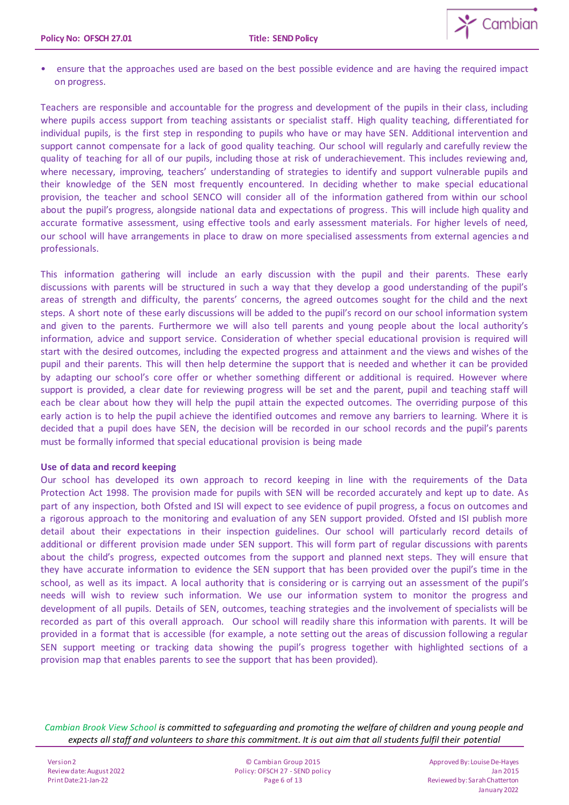

• ensure that the approaches used are based on the best possible evidence and are having the required impact on progress.

Teachers are responsible and accountable for the progress and development of the pupils in their class, including where pupils access support from teaching assistants or specialist staff. High quality teaching, differentiated for individual pupils, is the first step in responding to pupils who have or may have SEN. Additional intervention and support cannot compensate for a lack of good quality teaching. Our school will regularly and carefully review the quality of teaching for all of our pupils, including those at risk of underachievement. This includes reviewing and, where necessary, improving, teachers' understanding of strategies to identify and support vulnerable pupils and their knowledge of the SEN most frequently encountered. In deciding whether to make special educational provision, the teacher and school SENCO will consider all of the information gathered from within our school about the pupil's progress, alongside national data and expectations of progress. This will include high quality and accurate formative assessment, using effective tools and early assessment materials. For higher levels of need, our school will have arrangements in place to draw on more specialised assessments from external agencies and professionals.

This information gathering will include an early discussion with the pupil and their parents. These early discussions with parents will be structured in such a way that they develop a good understanding of the pupil's areas of strength and difficulty, the parents' concerns, the agreed outcomes sought for the child and the next steps. A short note of these early discussions will be added to the pupil's record on our school information system and given to the parents. Furthermore we will also tell parents and young people about the local authority's information, advice and support service. Consideration of whether special educational provision is required will start with the desired outcomes, including the expected progress and attainment and the views and wishes of the pupil and their parents. This will then help determine the support that is needed and whether it can be provided by adapting our school's core offer or whether something different or additional is required. However where support is provided, a clear date for reviewing progress will be set and the parent, pupil and teaching staff will each be clear about how they will help the pupil attain the expected outcomes. The overriding purpose of this early action is to help the pupil achieve the identified outcomes and remove any barriers to learning. Where it is decided that a pupil does have SEN, the decision will be recorded in our school records and the pupil's parents must be formally informed that special educational provision is being made

## **Use of data and record keeping**

Our school has developed its own approach to record keeping in line with the requirements of the Data Protection Act 1998. The provision made for pupils with SEN will be recorded accurately and kept up to date. As part of any inspection, both Ofsted and ISI will expect to see evidence of pupil progress, a focus on outcomes and a rigorous approach to the monitoring and evaluation of any SEN support provided. Ofsted and ISI publish more detail about their expectations in their inspection guidelines. Our school will particularly record details of additional or different provision made under SEN support. This will form part of regular discussions with parents about the child's progress, expected outcomes from the support and planned next steps. They will ensure that they have accurate information to evidence the SEN support that has been provided over the pupil's time in the school, as well as its impact. A local authority that is considering or is carrying out an assessment of the pupil's needs will wish to review such information. We use our information system to monitor the progress and development of all pupils. Details of SEN, outcomes, teaching strategies and the involvement of specialists will be recorded as part of this overall approach. Our school will readily share this information with parents. It will be provided in a format that is accessible (for example, a note setting out the areas of discussion following a regular SEN support meeting or tracking data showing the pupil's progress together with highlighted sections of a provision map that enables parents to see the support that has been provided).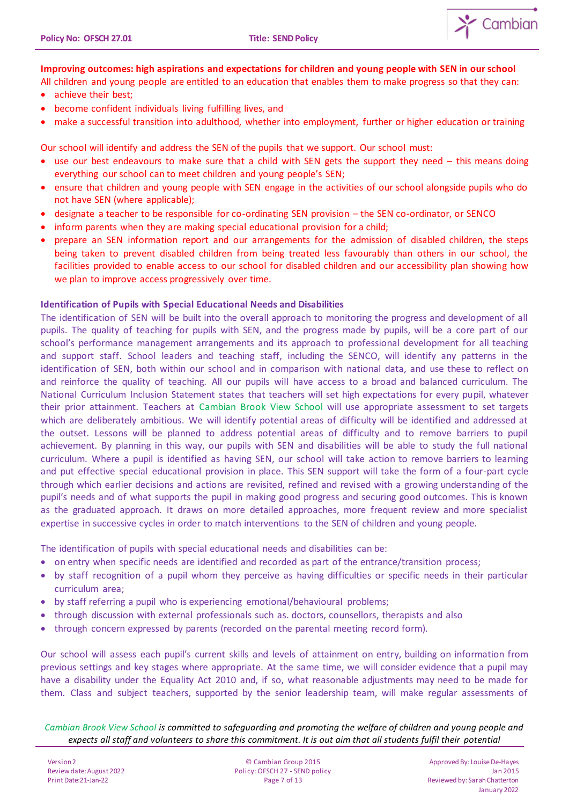

# **Improving outcomes: high aspirations and expectations for children and young people with SEN in our school**

- All children and young people are entitled to an education that enables them to make progress so that they can: achieve their best;
- become confident individuals living fulfilling lives, and
- make a successful transition into adulthood, whether into employment, further or higher education or training

Our school will identify and address the SEN of the pupils that we support. Our school must:

- use our best endeavours to make sure that a child with SEN gets the support they need this means doing everything our school can to meet children and young people's SEN;
- ensure that children and young people with SEN engage in the activities of our school alongside pupils who do not have SEN (where applicable);
- designate a teacher to be responsible for co-ordinating SEN provision the SEN co-ordinator, or SENCO
- inform parents when they are making special educational provision for a child;
- prepare an SEN information report and our arrangements for the admission of disabled children, the steps being taken to prevent disabled children from being treated less favourably than others in our school, the facilities provided to enable access to our school for disabled children and our accessibility plan showing how we plan to improve access progressively over time.

# **Identification of Pupils with Special Educational Needs and Disabilities**

The identification of SEN will be built into the overall approach to monitoring the progress and development of all pupils. The quality of teaching for pupils with SEN, and the progress made by pupils, will be a core part of our school's performance management arrangements and its approach to professional development for all teaching and support staff. School leaders and teaching staff, including the SENCO, will identify any patterns in the identification of SEN, both within our school and in comparison with national data, and use these to reflect on and reinforce the quality of teaching. All our pupils will have access to a broad and balanced curriculum. The National Curriculum Inclusion Statement states that teachers will set high expectations for every pupil, whatever their prior attainment. Teachers at Cambian Brook View School will use appropriate assessment to set targets which are deliberately ambitious. We will identify potential areas of difficulty will be identified and addressed at the outset. Lessons will be planned to address potential areas of difficulty and to remove barriers to pupil achievement. By planning in this way, our pupils with SEN and disabilities will be able to study the full national curriculum. Where a pupil is identified as having SEN, our school will take action to remove barriers to learning and put effective special educational provision in place. This SEN support will take the form of a four-part cycle through which earlier decisions and actions are revisited, refined and revised with a growing understanding of the pupil's needs and of what supports the pupil in making good progress and securing good outcomes. This is known as the graduated approach. It draws on more detailed approaches, more frequent review and more specialist expertise in successive cycles in order to match interventions to the SEN of children and young people.

The identification of pupils with special educational needs and disabilities can be:

- on entry when specific needs are identified and recorded as part of the entrance/transition process;
- by staff recognition of a pupil whom they perceive as having difficulties or specific needs in their particular curriculum area;
- by staff referring a pupil who is experiencing emotional/behavioural problems;
- through discussion with external professionals such as. doctors, counsellors, therapists and also
- through concern expressed by parents (recorded on the parental meeting record form).

Our school will assess each pupil's current skills and levels of attainment on entry, building on information from previous settings and key stages where appropriate. At the same time, we will consider evidence that a pupil may have a disability under the Equality Act 2010 and, if so, what reasonable adjustments may need to be made for them. Class and subject teachers, supported by the senior leadership team, will make regular assessments of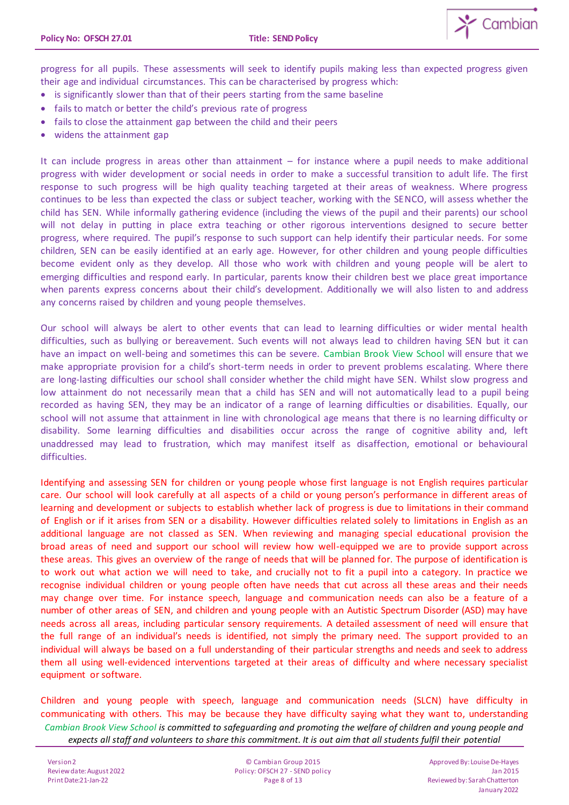

progress for all pupils. These assessments will seek to identify pupils making less than expected progress given their age and individual circumstances. This can be characterised by progress which:

- is significantly slower than that of their peers starting from the same baseline
- fails to match or better the child's previous rate of progress
- fails to close the attainment gap between the child and their peers
- widens the attainment gap

It can include progress in areas other than attainment – for instance where a pupil needs to make additional progress with wider development or social needs in order to make a successful transition to adult life. The first response to such progress will be high quality teaching targeted at their areas of weakness. Where progress continues to be less than expected the class or subject teacher, working with the SENCO, will assess whether the child has SEN. While informally gathering evidence (including the views of the pupil and their parents) our school will not delay in putting in place extra teaching or other rigorous interventions designed to secure better progress, where required. The pupil's response to such support can help identify their particular needs. For some children, SEN can be easily identified at an early age. However, for other children and young people difficulties become evident only as they develop. All those who work with children and young people will be alert to emerging difficulties and respond early. In particular, parents know their children best we place great importance when parents express concerns about their child's development. Additionally we will also listen to and address any concerns raised by children and young people themselves.

Our school will always be alert to other events that can lead to learning difficulties or wider mental health difficulties, such as bullying or bereavement. Such events will not always lead to children having SEN but it can have an impact on well-being and sometimes this can be severe. Cambian Brook View School will ensure that we make appropriate provision for a child's short-term needs in order to prevent problems escalating. Where there are long-lasting difficulties our school shall consider whether the child might have SEN. Whilst slow progress and low attainment do not necessarily mean that a child has SEN and will not automatically lead to a pupil being recorded as having SEN, they may be an indicator of a range of learning difficulties or disabilities. Equally, our school will not assume that attainment in line with chronological age means that there is no learning difficulty or disability. Some learning difficulties and disabilities occur across the range of cognitive ability and, left unaddressed may lead to frustration, which may manifest itself as disaffection, emotional or behavioural difficulties.

Identifying and assessing SEN for children or young people whose first language is not English requires particular care. Our school will look carefully at all aspects of a child or young person's performance in different areas of learning and development or subjects to establish whether lack of progress is due to limitations in their command of English or if it arises from SEN or a disability. However difficulties related solely to limitations in English as an additional language are not classed as SEN. When reviewing and managing special educational provision the broad areas of need and support our school will review how well-equipped we are to provide support across these areas. This gives an overview of the range of needs that will be planned for. The purpose of identification is to work out what action we will need to take, and crucially not to fit a pupil into a category. In practice we recognise individual children or young people often have needs that cut across all these areas and their needs may change over time. For instance speech, language and communication needs can also be a feature of a number of other areas of SEN, and children and young people with an Autistic Spectrum Disorder (ASD) may have needs across all areas, including particular sensory requirements. A detailed assessment of need will ensure that the full range of an individual's needs is identified, not simply the primary need. The support provided to an individual will always be based on a full understanding of their particular strengths and needs and seek to address them all using well-evidenced interventions targeted at their areas of difficulty and where necessary specialist equipment or software.

*Cambian Brook View School is committed to safeguarding and promoting the welfare of children and young people and expects all staff and volunteers to share this commitment. It is out aim that all students fulfil their potential* Children and young people with speech, language and communication needs (SLCN) have difficulty in communicating with others. This may be because they have difficulty saying what they want to, understanding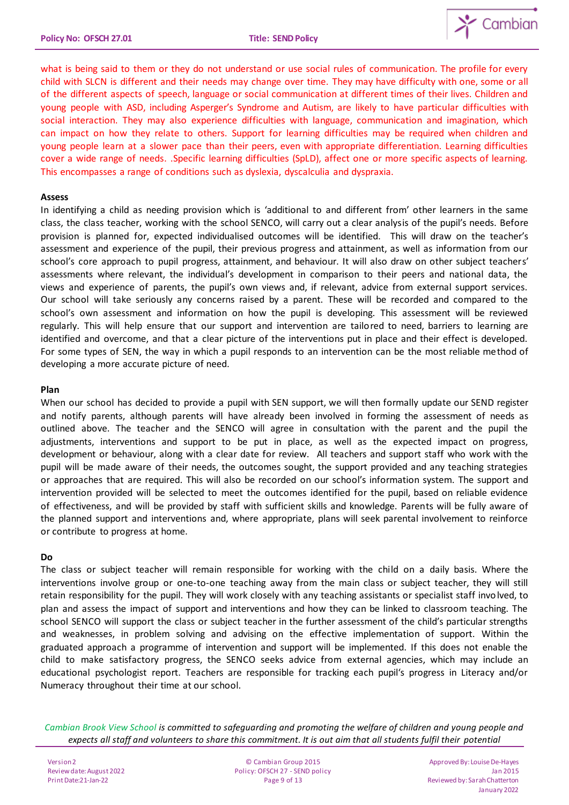

what is being said to them or they do not understand or use social rules of communication. The profile for every child with SLCN is different and their needs may change over time. They may have difficulty with one, some or all of the different aspects of speech, language or social communication at different times of their lives. Children and young people with ASD, including Asperger's Syndrome and Autism, are likely to have particular difficulties with social interaction. They may also experience difficulties with language, communication and imagination, which can impact on how they relate to others. Support for learning difficulties may be required when children and young people learn at a slower pace than their peers, even with appropriate differentiation. Learning difficulties cover a wide range of needs. .Specific learning difficulties (SpLD), affect one or more specific aspects of learning. This encompasses a range of conditions such as dyslexia, dyscalculia and dyspraxia.

### **Assess**

In identifying a child as needing provision which is 'additional to and different from' other learners in the same class, the class teacher, working with the school SENCO, will carry out a clear analysis of the pupil's needs. Before provision is planned for, expected individualised outcomes will be identified. This will draw on the teacher's assessment and experience of the pupil, their previous progress and attainment, as well as information from our school's core approach to pupil progress, attainment, and behaviour. It will also draw on other subject teachers' assessments where relevant, the individual's development in comparison to their peers and national data, the views and experience of parents, the pupil's own views and, if relevant, advice from external support services. Our school will take seriously any concerns raised by a parent. These will be recorded and compared to the school's own assessment and information on how the pupil is developing. This assessment will be reviewed regularly. This will help ensure that our support and intervention are tailored to need, barriers to learning are identified and overcome, and that a clear picture of the interventions put in place and their effect is developed. For some types of SEN, the way in which a pupil responds to an intervention can be the most reliable method of developing a more accurate picture of need.

#### **Plan**

When our school has decided to provide a pupil with SEN support, we will then formally update our SEND register and notify parents, although parents will have already been involved in forming the assessment of needs as outlined above. The teacher and the SENCO will agree in consultation with the parent and the pupil the adjustments, interventions and support to be put in place, as well as the expected impact on progress, development or behaviour, along with a clear date for review. All teachers and support staff who work with the pupil will be made aware of their needs, the outcomes sought, the support provided and any teaching strategies or approaches that are required. This will also be recorded on our school's information system. The support and intervention provided will be selected to meet the outcomes identified for the pupil, based on reliable evidence of effectiveness, and will be provided by staff with sufficient skills and knowledge. Parents will be fully aware of the planned support and interventions and, where appropriate, plans will seek parental involvement to reinforce or contribute to progress at home.

## **Do**

The class or subject teacher will remain responsible for working with the child on a daily basis. Where the interventions involve group or one-to-one teaching away from the main class or subject teacher, they will still retain responsibility for the pupil. They will work closely with any teaching assistants or specialist staff involved, to plan and assess the impact of support and interventions and how they can be linked to classroom teaching. The school SENCO will support the class or subject teacher in the further assessment of the child's particular strengths and weaknesses, in problem solving and advising on the effective implementation of support. Within the graduated approach a programme of intervention and support will be implemented. If this does not enable the child to make satisfactory progress, the SENCO seeks advice from external agencies, which may include an educational psychologist report. Teachers are responsible for tracking each pupil's progress in Literacy and/or Numeracy throughout their time at our school.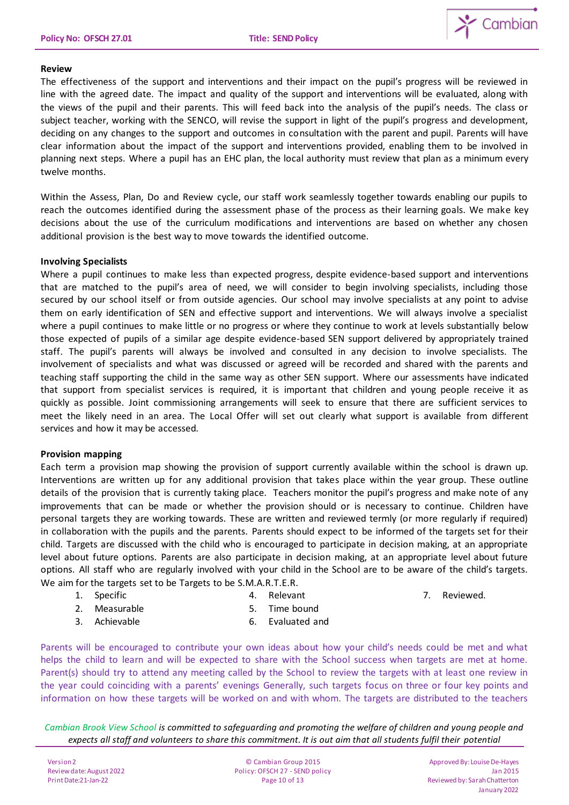

### **Review**

The effectiveness of the support and interventions and their impact on the pupil's progress will be reviewed in line with the agreed date. The impact and quality of the support and interventions will be evaluated, along with the views of the pupil and their parents. This will feed back into the analysis of the pupil's needs. The class or subject teacher, working with the SENCO, will revise the support in light of the pupil's progress and development, deciding on any changes to the support and outcomes in consultation with the parent and pupil. Parents will have clear information about the impact of the support and interventions provided, enabling them to be involved in planning next steps. Where a pupil has an EHC plan, the local authority must review that plan as a minimum every twelve months.

Within the Assess, Plan, Do and Review cycle, our staff work seamlessly together towards enabling our pupils to reach the outcomes identified during the assessment phase of the process as their learning goals. We make key decisions about the use of the curriculum modifications and interventions are based on whether any chosen additional provision is the best way to move towards the identified outcome.

## **Involving Specialists**

Where a pupil continues to make less than expected progress, despite evidence-based support and interventions that are matched to the pupil's area of need, we will consider to begin involving specialists, including those secured by our school itself or from outside agencies. Our school may involve specialists at any point to advise them on early identification of SEN and effective support and interventions. We will always involve a specialist where a pupil continues to make little or no progress or where they continue to work at levels substantially below those expected of pupils of a similar age despite evidence-based SEN support delivered by appropriately trained staff. The pupil's parents will always be involved and consulted in any decision to involve specialists. The involvement of specialists and what was discussed or agreed will be recorded and shared with the parents and teaching staff supporting the child in the same way as other SEN support. Where our assessments have indicated that support from specialist services is required, it is important that children and young people receive it as quickly as possible. Joint commissioning arrangements will seek to ensure that there are sufficient services to meet the likely need in an area. The Local Offer will set out clearly what support is available from different services and how it may be accessed.

## **Provision mapping**

Each term a provision map showing the provision of support currently available within the school is drawn up. Interventions are written up for any additional provision that takes place within the year group. These outline details of the provision that is currently taking place. Teachers monitor the pupil's progress and make note of any improvements that can be made or whether the provision should or is necessary to continue. Children have personal targets they are working towards. These are written and reviewed termly (or more regularly if required) in collaboration with the pupils and the parents. Parents should expect to be informed of the targets set for their child. Targets are discussed with the child who is encouraged to participate in decision making, at an appropriate level about future options. Parents are also participate in decision making, at an appropriate level about future options. All staff who are regularly involved with your child in the School are to be aware of the child's targets. We aim for the targets set to be Targets to be S.M.A.R.T.E.R.

1. Specific

4. Relevant

7. Reviewed.

2. Measurable

- 5. Time bound
- 3. Achievable
- 6. Evaluated and

Parents will be encouraged to contribute your own ideas about how your child's needs could be met and what helps the child to learn and will be expected to share with the School success when targets are met at home. Parent(s) should try to attend any meeting called by the School to review the targets with at least one review in the year could coinciding with a parents' evenings Generally, such targets focus on three or four key points and information on how these targets will be worked on and with whom. The targets are distributed to the teachers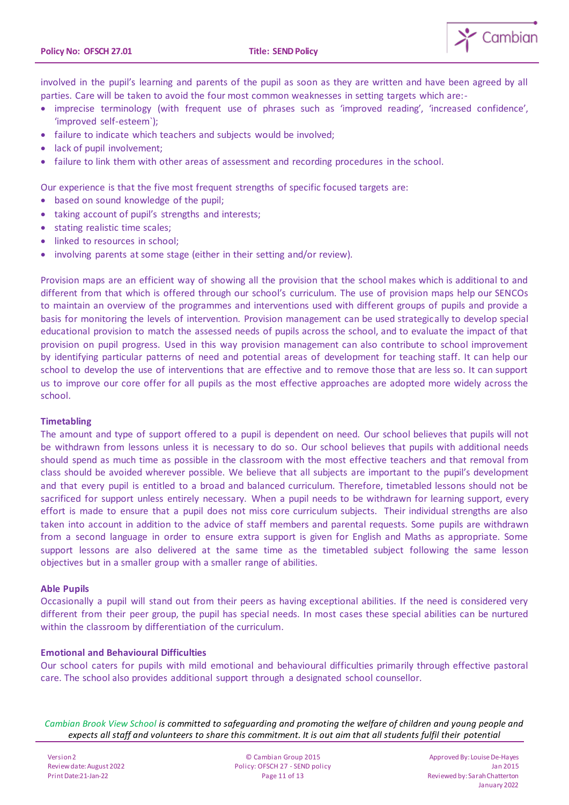

involved in the pupil's learning and parents of the pupil as soon as they are written and have been agreed by all parties. Care will be taken to avoid the four most common weaknesses in setting targets which are:-

- imprecise terminology (with frequent use of phrases such as 'improved reading', 'increased confidence', 'improved self-esteem`);
- failure to indicate which teachers and subjects would be involved;
- lack of pupil involvement:
- failure to link them with other areas of assessment and recording procedures in the school.

Our experience is that the five most frequent strengths of specific focused targets are:

- based on sound knowledge of the pupil;
- taking account of pupil's strengths and interests;
- stating realistic time scales;
- linked to resources in school;
- involving parents at some stage (either in their setting and/or review).

Provision maps are an efficient way of showing all the provision that the school makes which is additional to and different from that which is offered through our school's curriculum. The use of provision maps help our SENCOs to maintain an overview of the programmes and interventions used with different groups of pupils and provide a basis for monitoring the levels of intervention. Provision management can be used strategically to develop special educational provision to match the assessed needs of pupils across the school, and to evaluate the impact of that provision on pupil progress. Used in this way provision management can also contribute to school improvement by identifying particular patterns of need and potential areas of development for teaching staff. It can help our school to develop the use of interventions that are effective and to remove those that are less so. It can support us to improve our core offer for all pupils as the most effective approaches are adopted more widely across the school.

## **Timetabling**

The amount and type of support offered to a pupil is dependent on need. Our school believes that pupils will not be withdrawn from lessons unless it is necessary to do so. Our school believes that pupils with additional needs should spend as much time as possible in the classroom with the most effective teachers and that removal from class should be avoided wherever possible. We believe that all subjects are important to the pupil's development and that every pupil is entitled to a broad and balanced curriculum. Therefore, timetabled lessons should not be sacrificed for support unless entirely necessary. When a pupil needs to be withdrawn for learning support, every effort is made to ensure that a pupil does not miss core curriculum subjects. Their individual strengths are also taken into account in addition to the advice of staff members and parental requests. Some pupils are withdrawn from a second language in order to ensure extra support is given for English and Maths as appropriate. Some support lessons are also delivered at the same time as the timetabled subject following the same lesson objectives but in a smaller group with a smaller range of abilities.

## **Able Pupils**

Occasionally a pupil will stand out from their peers as having exceptional abilities. If the need is considered very different from their peer group, the pupil has special needs. In most cases these special abilities can be nurtured within the classroom by differentiation of the curriculum.

# **Emotional and Behavioural Difficulties**

Our school caters for pupils with mild emotional and behavioural difficulties primarily through effective pastoral care. The school also provides additional support through a designated school counsellor.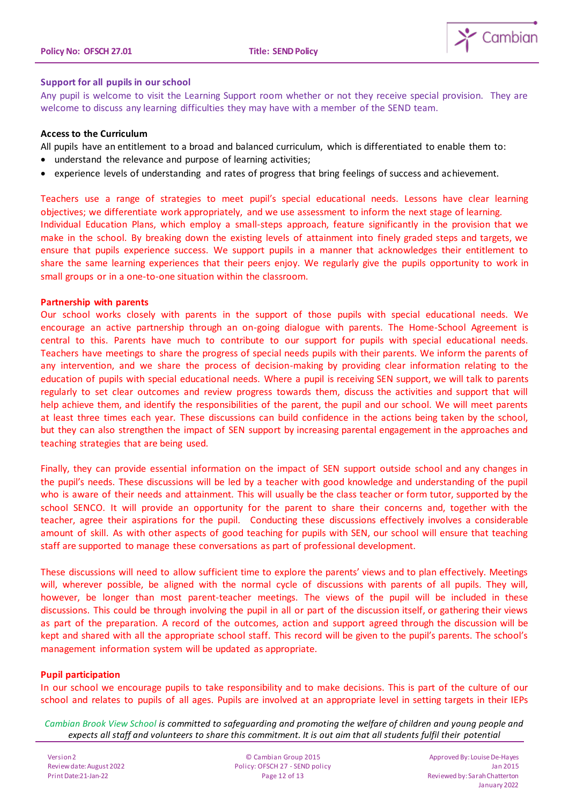

# **Support for all pupils in our school**

Any pupil is welcome to visit the Learning Support room whether or not they receive special provision. They are welcome to discuss any learning difficulties they may have with a member of the SEND team.

### **Access to the Curriculum**

All pupils have an entitlement to a broad and balanced curriculum, which is differentiated to enable them to:

- understand the relevance and purpose of learning activities;
- experience levels of understanding and rates of progress that bring feelings of success and achievement.

Teachers use a range of strategies to meet pupil's special educational needs. Lessons have clear learning objectives; we differentiate work appropriately, and we use assessment to inform the next stage of learning. Individual Education Plans, which employ a small-steps approach, feature significantly in the provision that we make in the school. By breaking down the existing levels of attainment into finely graded steps and targets, we ensure that pupils experience success. We support pupils in a manner that acknowledges their entitlement to share the same learning experiences that their peers enjoy. We regularly give the pupils opportunity to work in small groups or in a one-to-one situation within the classroom.

#### **Partnership with parents**

Our school works closely with parents in the support of those pupils with special educational needs. We encourage an active partnership through an on-going dialogue with parents. The Home-School Agreement is central to this. Parents have much to contribute to our support for pupils with special educational needs. Teachers have meetings to share the progress of special needs pupils with their parents. We inform the parents of any intervention, and we share the process of decision-making by providing clear information relating to the education of pupils with special educational needs. Where a pupil is receiving SEN support, we will talk to parents regularly to set clear outcomes and review progress towards them, discuss the activities and support that will help achieve them, and identify the responsibilities of the parent, the pupil and our school. We will meet parents at least three times each year. These discussions can build confidence in the actions being taken by the school, but they can also strengthen the impact of SEN support by increasing parental engagement in the approaches and teaching strategies that are being used.

Finally, they can provide essential information on the impact of SEN support outside school and any changes in the pupil's needs. These discussions will be led by a teacher with good knowledge and understanding of the pupil who is aware of their needs and attainment. This will usually be the class teacher or form tutor, supported by the school SENCO. It will provide an opportunity for the parent to share their concerns and, together with the teacher, agree their aspirations for the pupil. Conducting these discussions effectively involves a considerable amount of skill. As with other aspects of good teaching for pupils with SEN, our school will ensure that teaching staff are supported to manage these conversations as part of professional development.

These discussions will need to allow sufficient time to explore the parents' views and to plan effectively. Meetings will, wherever possible, be aligned with the normal cycle of discussions with parents of all pupils. They will, however, be longer than most parent-teacher meetings. The views of the pupil will be included in these discussions. This could be through involving the pupil in all or part of the discussion itself, or gathering their views as part of the preparation. A record of the outcomes, action and support agreed through the discussion will be kept and shared with all the appropriate school staff. This record will be given to the pupil's parents. The school's management information system will be updated as appropriate.

## **Pupil participation**

In our school we encourage pupils to take responsibility and to make decisions. This is part of the culture of our school and relates to pupils of all ages. Pupils are involved at an appropriate level in setting targets in their IEPs

*Cambian Brook View School is committed to safeguarding and promoting the welfare of children and young people and expects all staff and volunteers to share this commitment. It is out aim that all students fulfil their potential*

Version 2 Review date: August 2022 Print Date:21-Jan-22

© Cambian Group 2015 Policy: OFSCH 27 - SEND policy Page 12 of 13

Approved By: LouiseDe-Hayes Jan 2015 Reviewed by: Sarah Chatterton January 2022